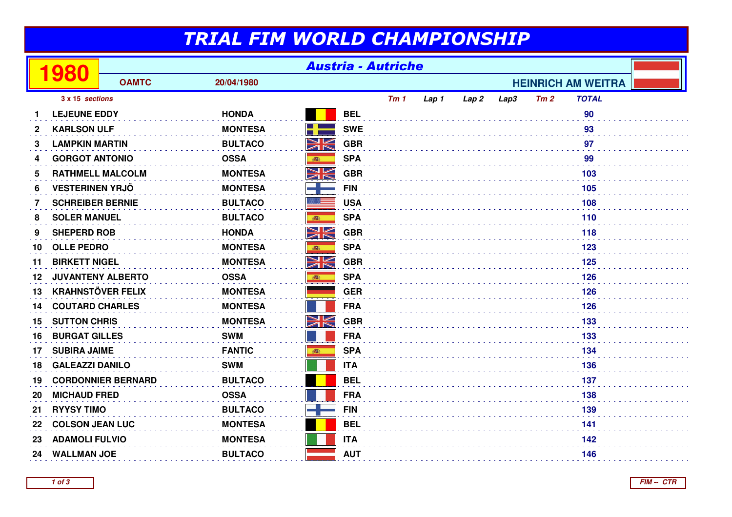## TRIAL FIM WORLD CHAMPIONSHIP

|                 | 80                       | <b>Austria - Autriche</b> |                |          |            |                           |       |                  |      |     |              |  |
|-----------------|--------------------------|---------------------------|----------------|----------|------------|---------------------------|-------|------------------|------|-----|--------------|--|
|                 |                          | <b>OAMTC</b>              | 20/04/1980     |          |            | <b>HEINRICH AM WEITRA</b> |       |                  |      |     |              |  |
| 3 x 15 sections |                          |                           |                |          |            | Tm1                       | Lap 1 | Lap <sub>2</sub> | Lap3 | Tm2 | <b>TOTAL</b> |  |
|                 | <b>LEJEUNE EDDY</b>      |                           | <b>HONDA</b>   |          | <b>BEL</b> |                           |       |                  |      |     | 90           |  |
| 2               | <b>KARLSON ULF</b>       |                           | <b>MONTESA</b> | H        | <b>SWE</b> |                           |       |                  |      |     | 93           |  |
| 3               | <b>LAMPKIN MARTIN</b>    |                           | <b>BULTACO</b> | XK       | <b>GBR</b> |                           |       |                  |      |     | 97           |  |
| 4               | <b>GORGOT ANTONIO</b>    |                           | <b>OSSA</b>    | 高        | <b>SPA</b> |                           |       |                  |      |     | 99           |  |
| 5               | <b>RATHMELL MALCOLM</b>  |                           | <b>MONTESA</b> | NK<br>ZN | <b>GBR</b> |                           |       |                  |      |     | 103          |  |
| 6               | <b>VESTERINEN YRJÖ</b>   |                           | <b>MONTESA</b> |          | <b>FIN</b> |                           |       |                  |      |     | 105          |  |
| 7               | <b>SCHREIBER BERNIE</b>  |                           | <b>BULTACO</b> |          | <b>USA</b> |                           |       |                  |      |     | 108          |  |
| 8               | <b>SOLER MANUEL</b>      |                           | <b>BULTACO</b> |          | <b>SPA</b> |                           |       |                  |      |     | 110          |  |
| 9               | <b>SHEPERD ROB</b>       |                           | <b>HONDA</b>   | NK       | <b>GBR</b> |                           |       |                  |      |     | 118          |  |
| 10              | <b>OLLE PEDRO</b>        |                           | <b>MONTESA</b> | 高        | <b>SPA</b> |                           |       |                  |      |     | 123          |  |
| 11              | <b>BIRKETT NIGEL</b>     |                           | <b>MONTESA</b> | NK<br>ZK | <b>GBR</b> |                           |       |                  |      |     | 125          |  |
| 12              | <b>JUVANTENY ALBERTO</b> |                           | <b>OSSA</b>    | 瓣        | <b>SPA</b> |                           |       |                  |      |     | 126          |  |
| 13              | <b>KRAHNSTÖVER FELIX</b> |                           | <b>MONTESA</b> |          | <b>GER</b> |                           |       |                  |      |     | 126          |  |
| 14              | <b>COUTARD CHARLES</b>   |                           | <b>MONTESA</b> |          | <b>FRA</b> |                           |       |                  |      |     | 126          |  |
| 15              | <b>SUTTON CHRIS</b>      |                           | <b>MONTESA</b> | NK       | <b>GBR</b> |                           |       |                  |      |     | 133          |  |
| 16              | <b>BURGAT GILLES</b>     |                           | <b>SWM</b>     |          | <b>FRA</b> |                           |       |                  |      |     | 133          |  |
| 17              | <b>SUBIRA JAIME</b>      |                           | <b>FANTIC</b>  |          | <b>SPA</b> |                           |       |                  |      |     | 134          |  |
| 18              | <b>GALEAZZI DANILO</b>   |                           | <b>SWM</b>     |          | <b>ITA</b> |                           |       |                  |      |     | 136          |  |
| 19              |                          | <b>CORDONNIER BERNARD</b> | <b>BULTACO</b> |          | <b>BEL</b> |                           |       |                  |      |     | 137          |  |
| 20              | <b>MICHAUD FRED</b>      |                           | <b>OSSA</b>    |          | <b>FRA</b> |                           |       |                  |      |     | 138          |  |
| 21              | <b>RYYSY TIMO</b>        |                           | <b>BULTACO</b> |          | <b>FIN</b> |                           |       |                  |      |     | 139          |  |
| 22              | <b>COLSON JEAN LUC</b>   |                           | <b>MONTESA</b> |          | <b>BEL</b> |                           |       |                  |      |     | 141          |  |
| 23              | <b>ADAMOLI FULVIO</b>    |                           | <b>MONTESA</b> |          | <b>ITA</b> |                           |       |                  |      |     | 142          |  |
| 24              | <b>WALLMAN JOE</b>       |                           | <b>BULTACO</b> |          | <b>AUT</b> |                           |       |                  |      |     | 146          |  |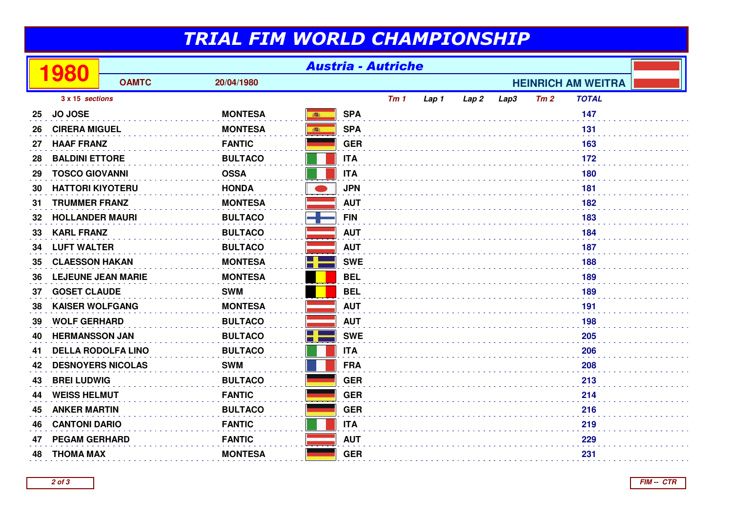## TRIAL FIM WORLD CHAMPIONSHIP

|    | 980                       | <b>Austria - Autriche</b> |                |                 |                 |       |                  |      |     |                           |  |
|----|---------------------------|---------------------------|----------------|-----------------|-----------------|-------|------------------|------|-----|---------------------------|--|
|    |                           | <b>OAMTC</b>              | 20/04/1980     |                 |                 |       |                  |      |     | <b>HEINRICH AM WEITRA</b> |  |
|    | 3 x 15 sections           |                           |                |                 | Tm <sub>1</sub> | Lap 1 | Lap <sub>2</sub> | Lap3 | Tm2 | <b>TOTAL</b>              |  |
| 25 | <b>JO JOSE</b>            |                           | <b>MONTESA</b> | <b>SPA</b><br>高 |                 |       |                  |      |     | 147                       |  |
| 26 | <b>CIRERA MIGUEL</b>      |                           | <b>MONTESA</b> | <b>SPA</b><br>高 |                 |       |                  |      |     | 131                       |  |
| 27 | <b>HAAF FRANZ</b>         |                           | <b>FANTIC</b>  | <b>GER</b>      |                 |       |                  |      |     | 163                       |  |
| 28 | <b>BALDINI ETTORE</b>     |                           | <b>BULTACO</b> | <b>ITA</b>      |                 |       |                  |      |     | 172                       |  |
| 29 | <b>TOSCO GIOVANNI</b>     |                           | <b>OSSA</b>    | <b>ITA</b>      |                 |       |                  |      |     | 180                       |  |
| 30 | <b>HATTORI KIYOTERU</b>   |                           | <b>HONDA</b>   | <b>JPN</b>      |                 |       |                  |      |     | 181                       |  |
| 31 | <b>TRUMMER FRANZ</b>      |                           | <b>MONTESA</b> | <b>AUT</b>      |                 |       |                  |      |     | 182                       |  |
| 32 | <b>HOLLANDER MAURI</b>    |                           | <b>BULTACO</b> | <b>FIN</b>      |                 |       |                  |      |     | 183                       |  |
| 33 | <b>KARL FRANZ</b>         |                           | <b>BULTACO</b> | <b>AUT</b>      |                 |       |                  |      |     | 184                       |  |
| 34 | <b>LUFT WALTER</b>        |                           | <b>BULTACO</b> | <b>AUT</b>      |                 |       |                  |      |     | 187                       |  |
| 35 | <b>CLAESSON HAKAN</b>     |                           | <b>MONTESA</b> | <b>SWE</b>      |                 |       |                  |      |     | 188                       |  |
| 36 | <b>LEJEUNE JEAN MARIE</b> |                           | <b>MONTESA</b> | <b>BEL</b>      |                 |       |                  |      |     | 189                       |  |
| 37 | <b>GOSET CLAUDE</b>       |                           | <b>SWM</b>     | <b>BEL</b>      |                 |       |                  |      |     | 189                       |  |
| 38 | <b>KAISER WOLFGANG</b>    |                           | <b>MONTESA</b> | <b>AUT</b>      |                 |       |                  |      |     | 191                       |  |
| 39 | <b>WOLF GERHARD</b>       |                           | <b>BULTACO</b> | <b>AUT</b>      |                 |       |                  |      |     | 198                       |  |
| 40 | <b>HERMANSSON JAN</b>     |                           | <b>BULTACO</b> | H<br><b>SWE</b> |                 |       |                  |      |     | 205                       |  |
| 41 |                           | <b>DELLA RODOLFA LINO</b> | <b>BULTACO</b> | <b>ITA</b>      |                 |       |                  |      |     | 206                       |  |
| 42 |                           | <b>DESNOYERS NICOLAS</b>  | <b>SWM</b>     | <b>FRA</b>      |                 |       |                  |      |     | 208                       |  |
| 43 | <b>BREI LUDWIG</b>        |                           | <b>BULTACO</b> | <b>GER</b>      |                 |       |                  |      |     |                           |  |
| 44 | <b>WEISS HELMUT</b>       |                           | <b>FANTIC</b>  | <b>GER</b>      |                 |       |                  |      |     | 214                       |  |
| 45 | <b>ANKER MARTIN</b>       |                           | <b>BULTACO</b> | <b>GER</b>      |                 |       |                  |      |     | 216                       |  |
| 46 | <b>CANTONI DARIO</b>      |                           | <b>FANTIC</b>  | <b>ITA</b>      |                 |       |                  |      |     | 219                       |  |
| 47 | <b>PEGAM GERHARD</b>      |                           | <b>FANTIC</b>  | <b>AUT</b>      |                 |       |                  |      |     | 229                       |  |
| 48 | <b>THOMA MAX</b>          |                           | <b>MONTESA</b> | <b>GER</b>      |                 |       |                  |      |     | 231                       |  |